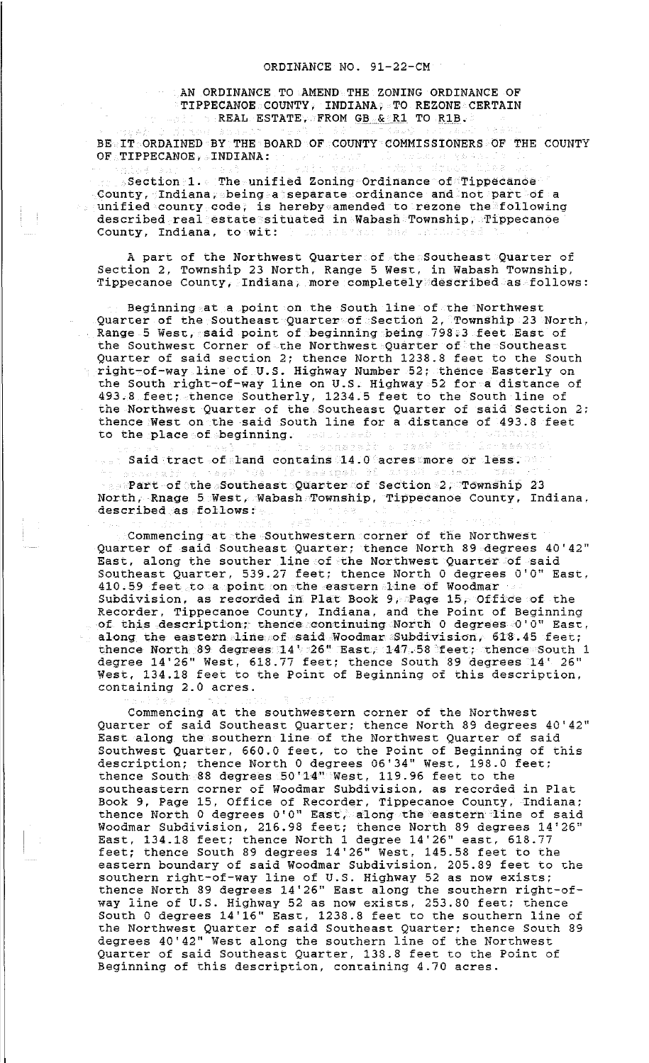AN ORDINANCE TO AMEND THE ZONING ORDINANCE OF TIPPECANOE COUNTY, INDIANA, TO REZONE CERTAIN  $\sim$  REAL ESTATE, FROM GB  $\&\circ$  R1 TO R1B. 그대로 인기

BE IT ORDAINED BY THE BOARD OF COUNTY COMMISSIONERS OF THE COUNTY OF TIPPECANOE, INDIANA:

 $\frac{1}{n}$ Section 1. The unified Zoning Ordinance of Tippecanoe County, Indiana, being a separate ordinance and not part of a unified county code, is hereby amended to rezone the following described real estate situated in Wabash Township, Tippecanoe County, Indiana, to wit:

A part of the Northwest Quarter of the Southeast Quarter of Section 2, Township 23 North, Range 5 West, in Wabash Township, Tippecanoe County, Indiana, more completely described as follows:

Beginning at a point on the South line of the Northwest Quarter of the Southeast Quarter of Section 2, Township 23 North, Range 5 West, said point of beginning being 798.3 feet East of the Southwest Corner of the Northwest Quarter of the Southeast Quarter of said section 2; thence North 1238.8 feet to the South right-of-way line of U.S. Highway Number 52; thence Easterly on the South right-of-way line on U.S. Highway 52 for a distance of 493.8 feet; thence Southerly, 1234.5 feet to the South line of the Northwest Quarter of the Southeast Quarter of said Section *2:*  thence West on the said South line for a distance of 493.8 feet<br>to the place of beginning. A second a series of the place of beginning. to the place of beginning.

Said tract of land contains 14.0 acres more or less. 海 医的神经  $_{\odot}$  Part of the Southeast Quarter of Section 2, Township 23 North, Rnage 5 West, Wabash Township, Tippecanoe County, Indiana, described as follows: - 45.95

Commencing at the Southwestern corner of the Northwest Quarter of said Southeast Quarter; thence North 89 degrees 40'42" East, along the souther line of the Northwest Quarter of said Southeast Quarter, 539.27 feet; thence North 0 degrees O'O" East, 410.59 feet to a point on the eastern line of Woodmar Subdivision, as recorded in Plat Book 9, Page 15, Office of the Recorder, Tippecanoe County, Indiana, and the Point of Beginning of this description; thence continuing North 0 degrees O'O" East, along the eastern line of said Woodmar Subdivision, 618.45 feet; thence North 89 degrees 14'  $726$ " East, 147.58 feet; thence South 1 degree 14'26" West, 618.77 feet; thence South 89 degrees 14' 26" West, 134.18 feet to the Point of Beginning of this description, containing 2.0 acres.

Commencing at the southwestern corner of the Northwest Quarter of said Southeast Quarter; thence North 89 degrees 40'42" East along the southern line of the Northwest Quarter of said Southwest Quarter, 660.0 feet, to the Point of Beginning of this description; thence North 0 degrees 06'34'' West, 198.0 feet; thence South 88 degrees 50'14" West, 119.96 feet to the southeastern corner of Woodmar Subdivision, as recorded in Plat Book 9, Page 15, Office of Recorder, Tippecanoe County, Indiana; thence North 0 degrees O'O" East, along the eastern line of said Woodmar Subdivision, 216.98 feet; thence North 89 degrees 14'26" East, 134.18 feet; thence North 1 degree 14'26'' east, 618.77 feet; thence South 89 degrees 14'26" West, 145.58 feet to the eastern boundary of said Woodmar Subdivision, 205.89 feet to the southern right-of-way line of U.S. Highway 52 as now exists; thence North 89 degrees 14'26" East along the southern right-ofway line of U.S. Highway 52 as now exists, 253.80 feet; thence South 0 degrees 14'16" East, 1238.8 feet to the southern line of the Northwest Quarter of said Southeast Quarter; thence South 89 degrees 40'42" West along the southern line of the Northwest Quarter of said Southeast Quarter, 138.8 feet to the Point of Beginning of this description, containing 4.70 acres.